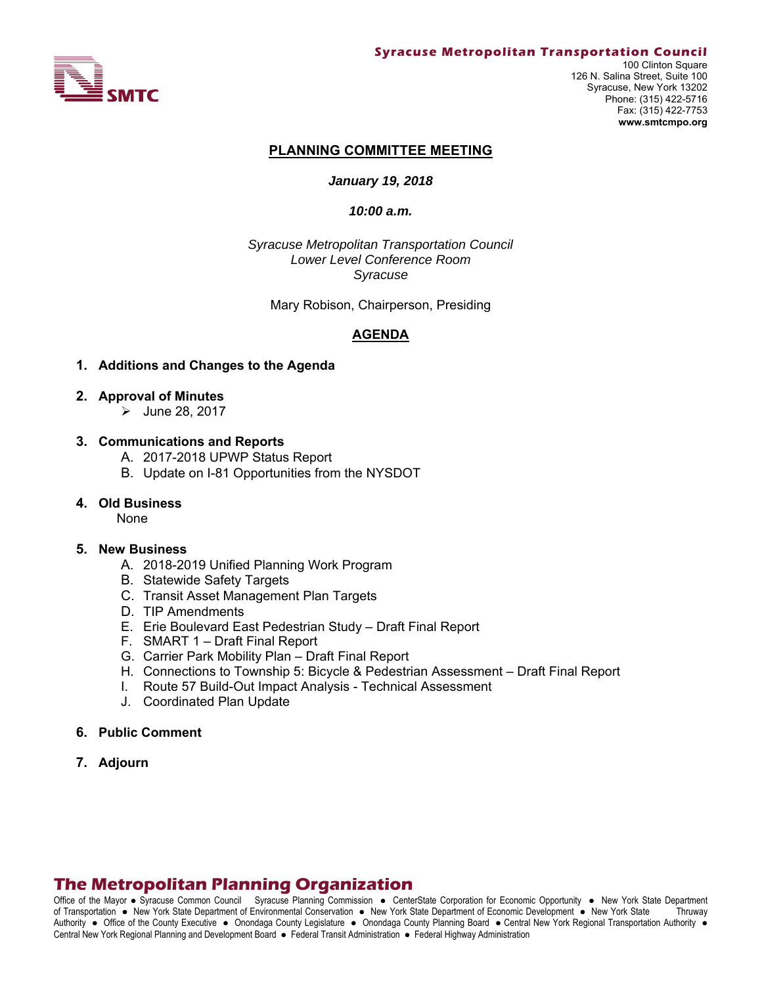

#### **PLANNING COMMITTEE MEETING**

#### *January 19, 2018*

#### *10:00 a.m.*

*Syracuse Metropolitan Transportation Council Lower Level Conference Room Syracuse* 

Mary Robison, Chairperson, Presiding

#### **AGENDA**

#### **1. Additions and Changes to the Agenda**

- **2. Approval of Minutes** 
	- $\blacktriangleright$  June 28, 2017

#### **3. Communications and Reports**

- A. 2017-2018 UPWP Status Report
- B. Update on I-81 Opportunities from the NYSDOT

#### **4. Old Business**

None

#### **5. New Business**

- A. 2018-2019 Unified Planning Work Program
- B. Statewide Safety Targets
- C. Transit Asset Management Plan Targets
- D. TIP Amendments
- E. Erie Boulevard East Pedestrian Study Draft Final Report
- F. SMART 1 Draft Final Report
- G. Carrier Park Mobility Plan Draft Final Report
- H. Connections to Township 5: Bicycle & Pedestrian Assessment Draft Final Report
- I. Route 57 Build-Out Impact Analysis Technical Assessment
- J. Coordinated Plan Update
- **6. Public Comment**
- **7. Adjourn**

# **The Metropolitan Planning Organization**

Office of the Mayor • Syracuse Common Council Syracuse Planning Commission • CenterState Corporation for Economic Opportunity • New York State Department of Transportation New York State Department of Environmental Conservation New York State Department of Economic Development New York State Thruway Authority . Office of the County Executive . Onondaga County Legislature . Onondaga County Planning Board . Central New York Regional Transportation Authority . Central New York Regional Planning and Development Board · Federal Transit Administration · Federal Highway Administration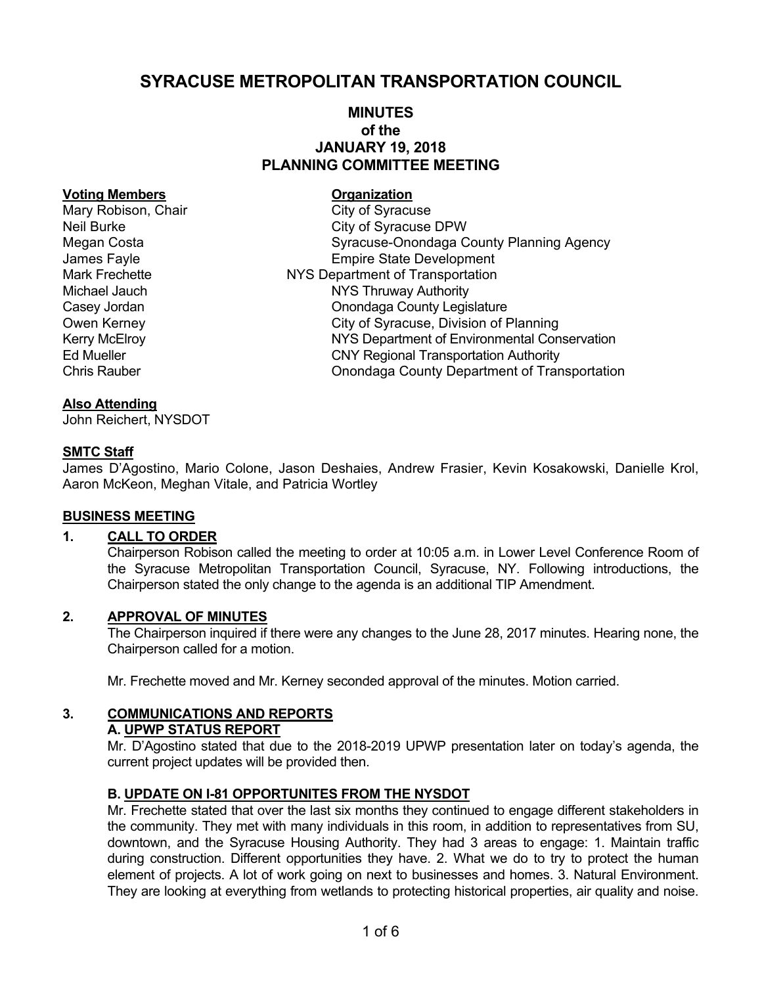# **SYRACUSE METROPOLITAN TRANSPORTATION COUNCIL**

# **MINUTES of the JANUARY 19, 2018 PLANNING COMMITTEE MEETING**

#### **Voting Members Construction Construction**

Mary Robison, Chair Chair City of Syracuse

# Neil Burke City of Syracuse DPW Megan Costa Syracuse-Onondaga County Planning Agency James Fayle **Empire State Development** Mark Frechette **NYS Department of Transportation** Michael Jauch NYS Thruway Authority Casey Jordan Casey Jordan Casey Jordan Casey Jordan County Legislature Owen Kerney **City of Syracuse, Division of Planning** Kerry McElroy **NYS Department of Environmental Conservation** Ed Mueller CNY Regional Transportation Authority Chris Rauber Onondaga County Department of Transportation

#### **Also Attending**

John Reichert, NYSDOT

#### **SMTC Staff**

James D'Agostino, Mario Colone, Jason Deshaies, Andrew Frasier, Kevin Kosakowski, Danielle Krol, Aaron McKeon, Meghan Vitale, and Patricia Wortley

#### **BUSINESS MEETING**

#### **1. CALL TO ORDER**

Chairperson Robison called the meeting to order at 10:05 a.m. in Lower Level Conference Room of the Syracuse Metropolitan Transportation Council, Syracuse, NY. Following introductions, the Chairperson stated the only change to the agenda is an additional TIP Amendment.

#### **2. APPROVAL OF MINUTES**

The Chairperson inquired if there were any changes to the June 28, 2017 minutes. Hearing none, the Chairperson called for a motion.

Mr. Frechette moved and Mr. Kerney seconded approval of the minutes. Motion carried.

# **3. COMMUNICATIONS AND REPORTS**

#### **A. UPWP STATUS REPORT**

Mr. D'Agostino stated that due to the 2018-2019 UPWP presentation later on today's agenda, the current project updates will be provided then.

## **B. UPDATE ON I-81 OPPORTUNITES FROM THE NYSDOT**

Mr. Frechette stated that over the last six months they continued to engage different stakeholders in the community. They met with many individuals in this room, in addition to representatives from SU, downtown, and the Syracuse Housing Authority. They had 3 areas to engage: 1. Maintain traffic during construction. Different opportunities they have. 2. What we do to try to protect the human element of projects. A lot of work going on next to businesses and homes. 3. Natural Environment. They are looking at everything from wetlands to protecting historical properties, air quality and noise.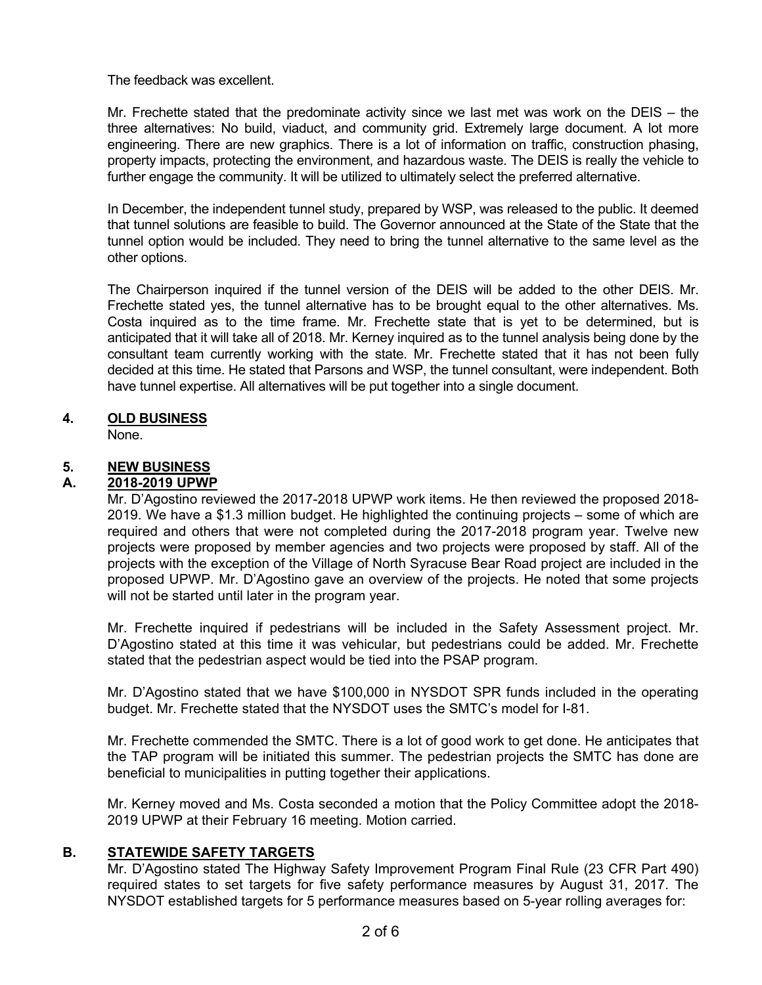The feedback was excellent.

Mr. Frechette stated that the predominate activity since we last met was work on the DEIS – the three alternatives: No build, viaduct, and community grid. Extremely large document. A lot more engineering. There are new graphics. There is a lot of information on traffic, construction phasing, property impacts, protecting the environment, and hazardous waste. The DEIS is really the vehicle to further engage the community. It will be utilized to ultimately select the preferred alternative.

In December, the independent tunnel study, prepared by WSP, was released to the public. It deemed that tunnel solutions are feasible to build. The Governor announced at the State of the State that the tunnel option would be included. They need to bring the tunnel alternative to the same level as the other options.

The Chairperson inquired if the tunnel version of the DEIS will be added to the other DEIS. Mr. Frechette stated yes, the tunnel alternative has to be brought equal to the other alternatives. Ms. Costa inquired as to the time frame. Mr. Frechette state that is yet to be determined, but is anticipated that it will take all of 2018. Mr. Kerney inquired as to the tunnel analysis being done by the consultant team currently working with the state. Mr. Frechette stated that it has not been fully decided at this time. He stated that Parsons and WSP, the tunnel consultant, were independent. Both have tunnel expertise. All alternatives will be put together into a single document.

## **4. OLD BUSINESS**

None.

## **5. NEW BUSINESS**

## **A. 2018-2019 UPWP**

Mr. D'Agostino reviewed the 2017-2018 UPWP work items. He then reviewed the proposed 2018- 2019. We have a \$1.3 million budget. He highlighted the continuing projects – some of which are required and others that were not completed during the 2017-2018 program year. Twelve new projects were proposed by member agencies and two projects were proposed by staff. All of the projects with the exception of the Village of North Syracuse Bear Road project are included in the proposed UPWP. Mr. D'Agostino gave an overview of the projects. He noted that some projects will not be started until later in the program year.

Mr. Frechette inquired if pedestrians will be included in the Safety Assessment project. Mr. D'Agostino stated at this time it was vehicular, but pedestrians could be added. Mr. Frechette stated that the pedestrian aspect would be tied into the PSAP program.

Mr. D'Agostino stated that we have \$100,000 in NYSDOT SPR funds included in the operating budget. Mr. Frechette stated that the NYSDOT uses the SMTC's model for I-81.

Mr. Frechette commended the SMTC. There is a lot of good work to get done. He anticipates that the TAP program will be initiated this summer. The pedestrian projects the SMTC has done are beneficial to municipalities in putting together their applications.

Mr. Kerney moved and Ms. Costa seconded a motion that the Policy Committee adopt the 2018- 2019 UPWP at their February 16 meeting. Motion carried.

## **B. STATEWIDE SAFETY TARGETS**

Mr. D'Agostino stated The Highway Safety Improvement Program Final Rule (23 CFR Part 490) required states to set targets for five safety performance measures by August 31, 2017. The NYSDOT established targets for 5 performance measures based on 5-year rolling averages for: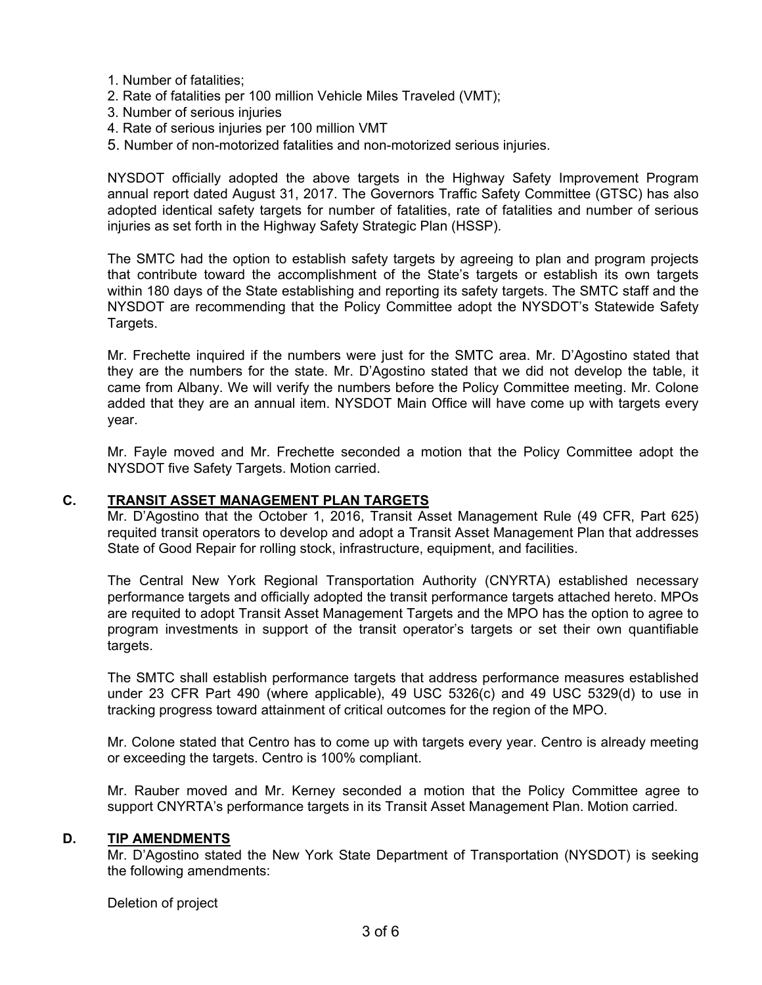- 1. Number of fatalities;
- 2. Rate of fatalities per 100 million Vehicle Miles Traveled (VMT);
- 3. Number of serious injuries
- 4. Rate of serious injuries per 100 million VMT
- 5. Number of non-motorized fatalities and non-motorized serious injuries.

NYSDOT officially adopted the above targets in the Highway Safety Improvement Program annual report dated August 31, 2017. The Governors Traffic Safety Committee (GTSC) has also adopted identical safety targets for number of fatalities, rate of fatalities and number of serious injuries as set forth in the Highway Safety Strategic Plan (HSSP).

The SMTC had the option to establish safety targets by agreeing to plan and program projects that contribute toward the accomplishment of the State's targets or establish its own targets within 180 days of the State establishing and reporting its safety targets. The SMTC staff and the NYSDOT are recommending that the Policy Committee adopt the NYSDOT's Statewide Safety Targets.

Mr. Frechette inquired if the numbers were just for the SMTC area. Mr. D'Agostino stated that they are the numbers for the state. Mr. D'Agostino stated that we did not develop the table, it came from Albany. We will verify the numbers before the Policy Committee meeting. Mr. Colone added that they are an annual item. NYSDOT Main Office will have come up with targets every year.

Mr. Fayle moved and Mr. Frechette seconded a motion that the Policy Committee adopt the NYSDOT five Safety Targets. Motion carried.

#### **C. TRANSIT ASSET MANAGEMENT PLAN TARGETS**

Mr. D'Agostino that the October 1, 2016, Transit Asset Management Rule (49 CFR, Part 625) requited transit operators to develop and adopt a Transit Asset Management Plan that addresses State of Good Repair for rolling stock, infrastructure, equipment, and facilities.

The Central New York Regional Transportation Authority (CNYRTA) established necessary performance targets and officially adopted the transit performance targets attached hereto. MPOs are requited to adopt Transit Asset Management Targets and the MPO has the option to agree to program investments in support of the transit operator's targets or set their own quantifiable targets.

The SMTC shall establish performance targets that address performance measures established under 23 CFR Part 490 (where applicable), 49 USC 5326(c) and 49 USC 5329(d) to use in tracking progress toward attainment of critical outcomes for the region of the MPO.

Mr. Colone stated that Centro has to come up with targets every year. Centro is already meeting or exceeding the targets. Centro is 100% compliant.

Mr. Rauber moved and Mr. Kerney seconded a motion that the Policy Committee agree to support CNYRTA's performance targets in its Transit Asset Management Plan. Motion carried.

#### **D. TIP AMENDMENTS**

Mr. D'Agostino stated the New York State Department of Transportation (NYSDOT) is seeking the following amendments:

Deletion of project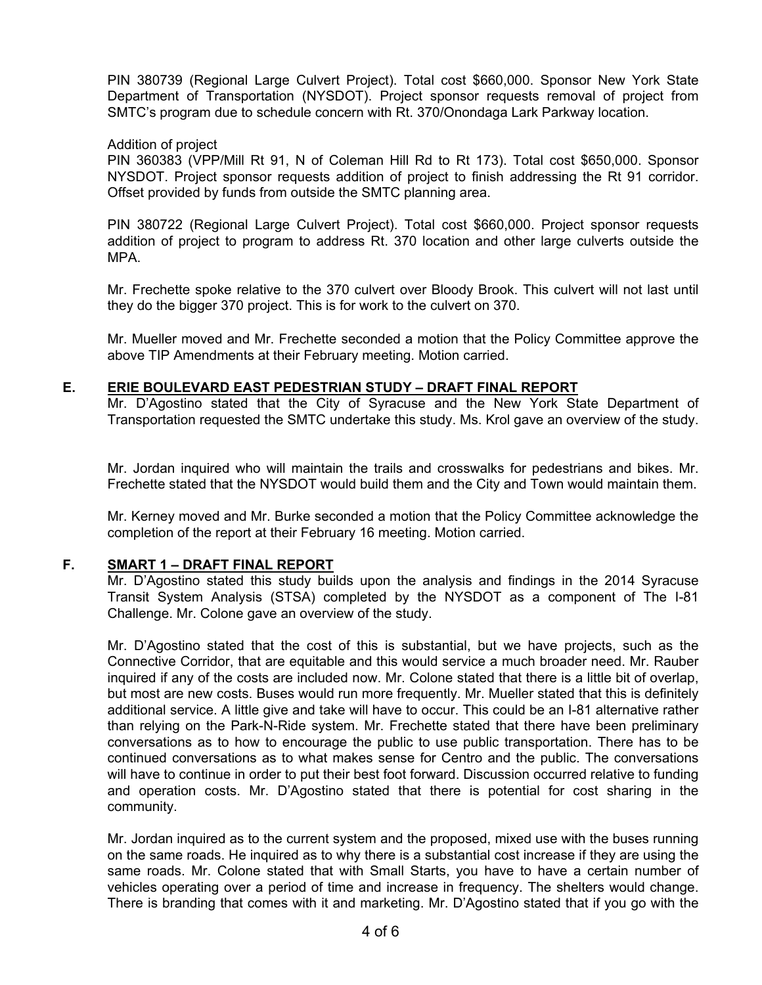PIN 380739 (Regional Large Culvert Project). Total cost \$660,000. Sponsor New York State Department of Transportation (NYSDOT). Project sponsor requests removal of project from SMTC's program due to schedule concern with Rt. 370/Onondaga Lark Parkway location.

#### Addition of project

PIN 360383 (VPP/Mill Rt 91, N of Coleman Hill Rd to Rt 173). Total cost \$650,000. Sponsor NYSDOT. Project sponsor requests addition of project to finish addressing the Rt 91 corridor. Offset provided by funds from outside the SMTC planning area.

PIN 380722 (Regional Large Culvert Project). Total cost \$660,000. Project sponsor requests addition of project to program to address Rt. 370 location and other large culverts outside the MPA.

Mr. Frechette spoke relative to the 370 culvert over Bloody Brook. This culvert will not last until they do the bigger 370 project. This is for work to the culvert on 370.

Mr. Mueller moved and Mr. Frechette seconded a motion that the Policy Committee approve the above TIP Amendments at their February meeting. Motion carried.

#### **E. ERIE BOULEVARD EAST PEDESTRIAN STUDY – DRAFT FINAL REPORT**

Mr. D'Agostino stated that the City of Syracuse and the New York State Department of Transportation requested the SMTC undertake this study. Ms. Krol gave an overview of the study.

Mr. Jordan inquired who will maintain the trails and crosswalks for pedestrians and bikes. Mr. Frechette stated that the NYSDOT would build them and the City and Town would maintain them.

Mr. Kerney moved and Mr. Burke seconded a motion that the Policy Committee acknowledge the completion of the report at their February 16 meeting. Motion carried.

## **F. SMART 1 – DRAFT FINAL REPORT**

Mr. D'Agostino stated this study builds upon the analysis and findings in the 2014 Syracuse Transit System Analysis (STSA) completed by the NYSDOT as a component of The I-81 Challenge. Mr. Colone gave an overview of the study.

Mr. D'Agostino stated that the cost of this is substantial, but we have projects, such as the Connective Corridor, that are equitable and this would service a much broader need. Mr. Rauber inquired if any of the costs are included now. Mr. Colone stated that there is a little bit of overlap, but most are new costs. Buses would run more frequently. Mr. Mueller stated that this is definitely additional service. A little give and take will have to occur. This could be an I-81 alternative rather than relying on the Park-N-Ride system. Mr. Frechette stated that there have been preliminary conversations as to how to encourage the public to use public transportation. There has to be continued conversations as to what makes sense for Centro and the public. The conversations will have to continue in order to put their best foot forward. Discussion occurred relative to funding and operation costs. Mr. D'Agostino stated that there is potential for cost sharing in the community.

Mr. Jordan inquired as to the current system and the proposed, mixed use with the buses running on the same roads. He inquired as to why there is a substantial cost increase if they are using the same roads. Mr. Colone stated that with Small Starts, you have to have a certain number of vehicles operating over a period of time and increase in frequency. The shelters would change. There is branding that comes with it and marketing. Mr. D'Agostino stated that if you go with the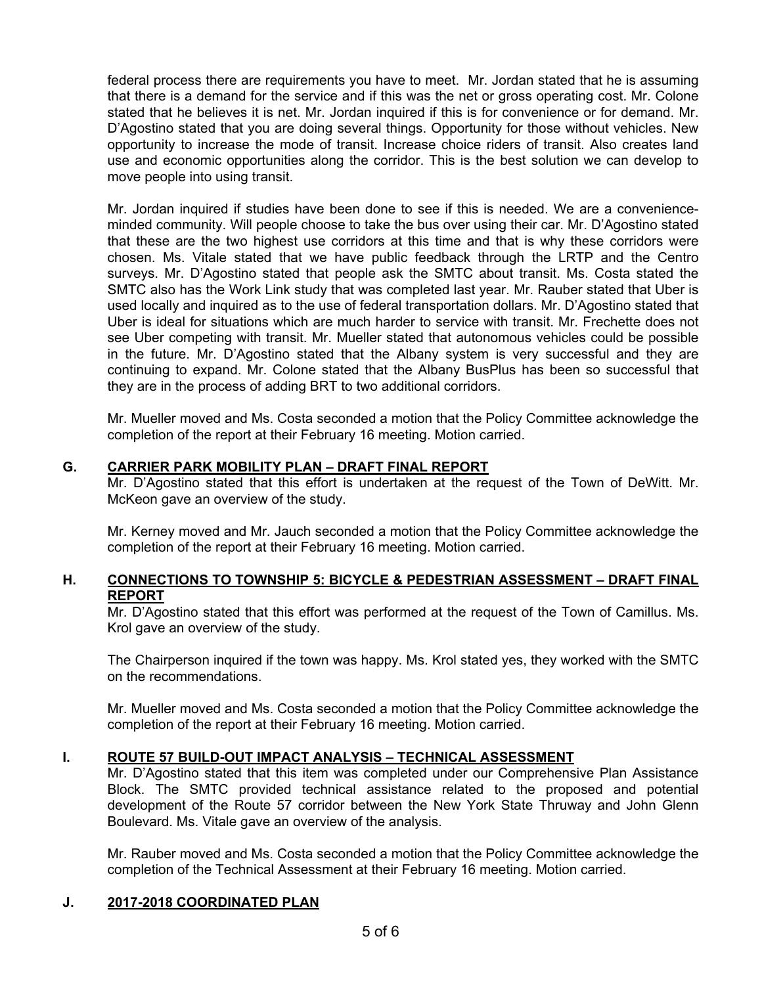federal process there are requirements you have to meet. Mr. Jordan stated that he is assuming that there is a demand for the service and if this was the net or gross operating cost. Mr. Colone stated that he believes it is net. Mr. Jordan inquired if this is for convenience or for demand. Mr. D'Agostino stated that you are doing several things. Opportunity for those without vehicles. New opportunity to increase the mode of transit. Increase choice riders of transit. Also creates land use and economic opportunities along the corridor. This is the best solution we can develop to move people into using transit.

Mr. Jordan inquired if studies have been done to see if this is needed. We are a convenienceminded community. Will people choose to take the bus over using their car. Mr. D'Agostino stated that these are the two highest use corridors at this time and that is why these corridors were chosen. Ms. Vitale stated that we have public feedback through the LRTP and the Centro surveys. Mr. D'Agostino stated that people ask the SMTC about transit. Ms. Costa stated the SMTC also has the Work Link study that was completed last year. Mr. Rauber stated that Uber is used locally and inquired as to the use of federal transportation dollars. Mr. D'Agostino stated that Uber is ideal for situations which are much harder to service with transit. Mr. Frechette does not see Uber competing with transit. Mr. Mueller stated that autonomous vehicles could be possible in the future. Mr. D'Agostino stated that the Albany system is very successful and they are continuing to expand. Mr. Colone stated that the Albany BusPlus has been so successful that they are in the process of adding BRT to two additional corridors.

Mr. Mueller moved and Ms. Costa seconded a motion that the Policy Committee acknowledge the completion of the report at their February 16 meeting. Motion carried.

## **G. CARRIER PARK MOBILITY PLAN – DRAFT FINAL REPORT**

Mr. D'Agostino stated that this effort is undertaken at the request of the Town of DeWitt. Mr. McKeon gave an overview of the study.

Mr. Kerney moved and Mr. Jauch seconded a motion that the Policy Committee acknowledge the completion of the report at their February 16 meeting. Motion carried.

## **H. CONNECTIONS TO TOWNSHIP 5: BICYCLE & PEDESTRIAN ASSESSMENT – DRAFT FINAL REPORT**

Mr. D'Agostino stated that this effort was performed at the request of the Town of Camillus. Ms. Krol gave an overview of the study.

The Chairperson inquired if the town was happy. Ms. Krol stated yes, they worked with the SMTC on the recommendations.

Mr. Mueller moved and Ms. Costa seconded a motion that the Policy Committee acknowledge the completion of the report at their February 16 meeting. Motion carried.

#### **I. ROUTE 57 BUILD-OUT IMPACT ANALYSIS – TECHNICAL ASSESSMENT**

Mr. D'Agostino stated that this item was completed under our Comprehensive Plan Assistance Block. The SMTC provided technical assistance related to the proposed and potential development of the Route 57 corridor between the New York State Thruway and John Glenn Boulevard. Ms. Vitale gave an overview of the analysis.

Mr. Rauber moved and Ms. Costa seconded a motion that the Policy Committee acknowledge the completion of the Technical Assessment at their February 16 meeting. Motion carried.

#### **J. 2017-2018 COORDINATED PLAN**